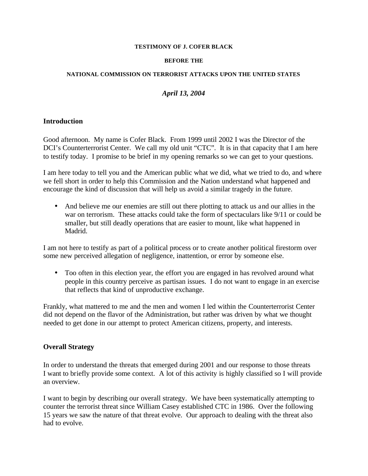### **TESTIMONY OF J. COFER BLACK**

### **BEFORE THE**

### **NATIONAL COMMISSION ON TERRORIST ATTACKS UPON THE UNITED STATES**

# *April 13, 2004*

### **Introduction**

Good afternoon. My name is Cofer Black. From 1999 until 2002 I was the Director of the DCI's Counterterrorist Center. We call my old unit "CTC". It is in that capacity that I am here to testify today. I promise to be brief in my opening remarks so we can get to your questions.

I am here today to tell you and the American public what we did, what we tried to do, and where we fell short in order to help this Commission and the Nation understand what happened and encourage the kind of discussion that will help us avoid a similar tragedy in the future.

• And believe me our enemies are still out there plotting to attack us and our allies in the war on terrorism. These attacks could take the form of spectaculars like 9/11 or could be smaller, but still deadly operations that are easier to mount, like what happened in Madrid.

I am not here to testify as part of a political process or to create another political firestorm over some new perceived allegation of negligence, inattention, or error by someone else.

• Too often in this election year, the effort you are engaged in has revolved around what people in this country perceive as partisan issues. I do not want to engage in an exercise that reflects that kind of unproductive exchange.

Frankly, what mattered to me and the men and women I led within the Counterterrorist Center did not depend on the flavor of the Administration, but rather was driven by what we thought needed to get done in our attempt to protect American citizens, property, and interests.

## **Overall Strategy**

In order to understand the threats that emerged during 2001 and our response to those threats I want to briefly provide some context. A lot of this activity is highly classified so I will provide an overview.

I want to begin by describing our overall strategy. We have been systematically attempting to counter the terrorist threat since William Casey established CTC in 1986. Over the following 15 years we saw the nature of that threat evolve. Our approach to dealing with the threat also had to evolve.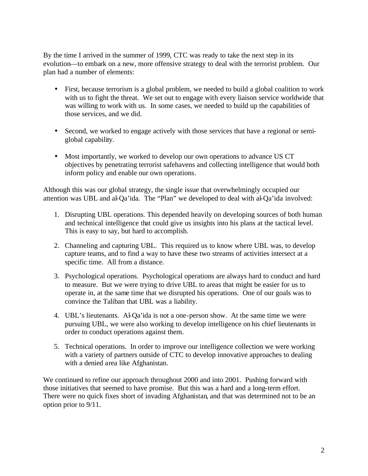By the time I arrived in the summer of 1999, CTC was ready to take the next step in its evolution—to embark on a new, more offensive strategy to deal with the terrorist problem. Our plan had a number of elements:

- First, because terrorism is a global problem, we needed to build a global coalition to work with us to fight the threat. We set out to engage with every liaison service worldwide that was willing to work with us. In some cases, we needed to build up the capabilities of those services, and we did.
- Second, we worked to engage actively with those services that have a regional or semiglobal capability.
- Most importantly, we worked to develop our own operations to advance US CT objectives by penetrating terrorist safehavens and collecting intelligence that would both inform policy and enable our own operations.

Although this was our global strategy, the single issue that overwhelmingly occupied our attention was UBL and al-Qa'ida. The "Plan" we developed to deal with al-Qa'ida involved:

- 1. Disrupting UBL operations. This depended heavily on developing sources of both human and technical intelligence that could give us insights into his plans at the tactical level. This is easy to say, but hard to accomplish.
- 2. Channeling and capturing UBL. This required us to know where UBL was, to develop capture teams, and to find a way to have these two streams of activities intersect at a specific time. All from a distance.
- 3. Psychological operations. Psychological operations are always hard to conduct and hard to measure. But we were trying to drive UBL to areas that might be easier for us to operate in, at the same time that we disrupted his operations. One of our goals was to convince the Taliban that UBL was a liability.
- 4. UBL's lieutenants. Al-Qa'ida is not a one-person show. At the same time we were pursuing UBL, we were also working to develop intelligence on his chief lieutenants in order to conduct operations against them.
- 5. Technical operations. In order to improve our intelligence collection we were working with a variety of partners outside of CTC to develop innovative approaches to dealing with a denied area like Afghanistan.

We continued to refine our approach throughout 2000 and into 2001. Pushing forward with those initiatives that seemed to have promise. But this was a hard and a long-term effort. There were no quick fixes short of invading Afghanistan, and that was determined not to be an option prior to 9/11.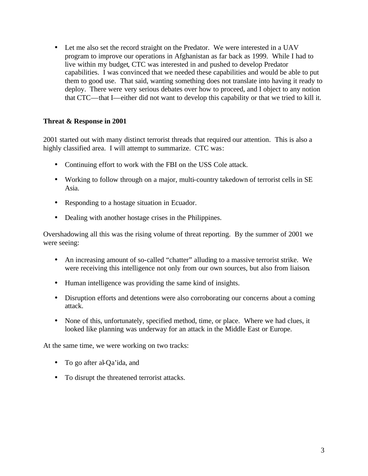• Let me also set the record straight on the Predator. We were interested in a UAV program to improve our operations in Afghanistan as far back as 1999. While I had to live within my budget, CTC was interested in and pushed to develop Predator capabilities. I was convinced that we needed these capabilities and would be able to put them to good use. That said, wanting something does not translate into having it ready to deploy. There were very serious debates over how to proceed, and I object to any notion that CTC—that I—either did not want to develop this capability or that we tried to kill it.

# **Threat & Response in 2001**

2001 started out with many distinct terrorist threads that required our attention. This is also a highly classified area. I will attempt to summarize. CTC was:

- Continuing effort to work with the FBI on the USS Cole attack.
- Working to follow through on a major, multi-country takedown of terrorist cells in SE Asia.
- Responding to a hostage situation in Ecuador.
- Dealing with another hostage crises in the Philippines.

Overshadowing all this was the rising volume of threat reporting. By the summer of 2001 we were seeing:

- An increasing amount of so-called "chatter" alluding to a massive terrorist strike. We were receiving this intelligence not only from our own sources, but also from liaison.
- Human intelligence was providing the same kind of insights.
- Disruption efforts and detentions were also corroborating our concerns about a coming attack.
- None of this, unfortunately, specified method, time, or place. Where we had clues, it looked like planning was underway for an attack in the Middle East or Europe.

At the same time, we were working on two tracks:

- To go after al-Qa'ida, and
- To disrupt the threatened terrorist attacks.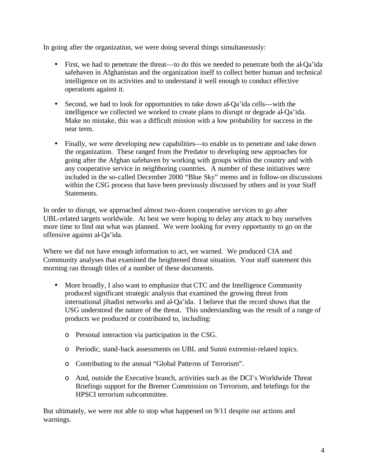In going after the organization, we were doing several things simultaneously:

- First, we had to penetrate the threat—to do this we needed to penetrate both the al-Qa'ida safehaven in Afghanistan and the organization itself to collect better human and technical intelligence on its activities and to understand it well enough to conduct effective operations against it.
- Second, we had to look for opportunities to take down al-Qa'ida cells—with the intelligence we collected we worked to create plans to disrupt or degrade al-Qa'ida. Make no mistake, this was a difficult mission with a low probability for success in the near term.
- Finally, we were developing new capabilities—to enable us to penetrate and take down the organization. These ranged from the Predator to developing new approaches for going after the Afghan safehaven by working with groups within the country and with any cooperative service in neighboring countries. A number of these initiatives were included in the so-called December 2000 "Blue Sky" memo and in follow-on discussions within the CSG process that have been previously discussed by others and in your Staff Statements.

In order to disrupt, we approached almost two-dozen cooperative services to go after UBL-related targets worldwide. At best we were hoping to delay any attack to buy ourselves more time to find out what was planned. We were looking for every opportunity to go on the offensive against al-Qa'ida.

Where we did not have enough information to act, we warned. We produced CIA and Community analyses that examined the heightened threat situation. Your staff statement this morning ran through titles of a number of these documents.

- More broadly, I also want to emphasize that CTC and the Intelligence Community produced significant strategic analysis that examined the growing threat from international jihadist networks and al-Qa'ida. I believe that the record shows that the USG understood the nature of the threat. This understanding was the result of a range of products we produced or contributed to, including:
	- o Personal interaction via participation in the CSG.
	- o Periodic, stand-back assessments on UBL and Sunni extremist-related topics.
	- o Contributing to the annual "Global Patterns of Terrorism".
	- o And, outside the Executive branch, activities such as the DCI's Worldwide Threat Briefings support for the Bremer Commission on Terrorism, and briefings for the HPSCI terrorism subcommittee.

But ultimately, we were not able to stop what happened on 9/11 despite our actions and warnings.